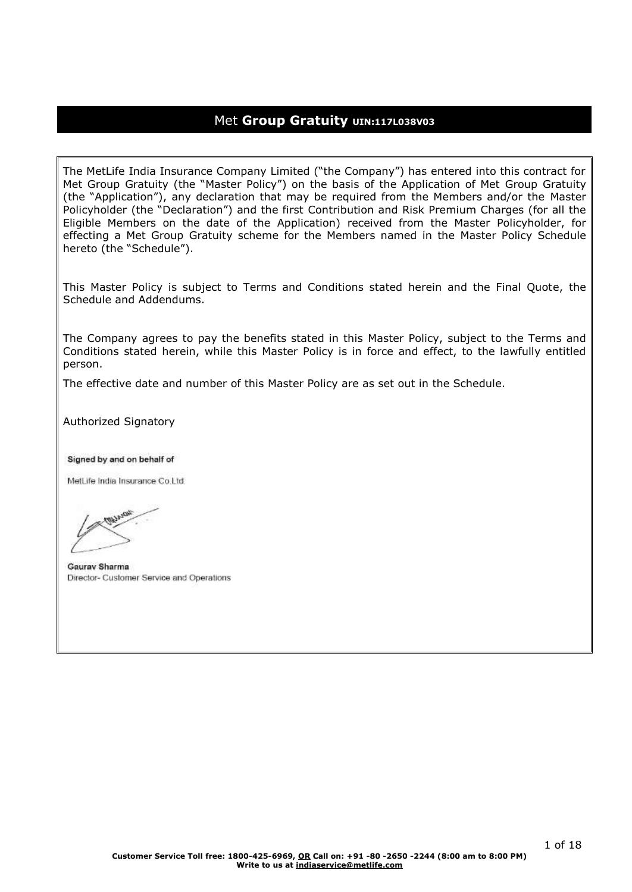## Met **Group Gratuity UIN:117L038V03**

The MetLife India Insurance Company Limited ("the Company") has entered into this contract for Met Group Gratuity (the "Master Policy") on the basis of the Application of Met Group Gratuity (the "Application"), any declaration that may be required from the Members and/or the Master Policyholder (the "Declaration") and the first Contribution and Risk Premium Charges (for all the Eligible Members on the date of the Application) received from the Master Policyholder, for effecting a Met Group Gratuity scheme for the Members named in the Master Policy Schedule hereto (the "Schedule").

This Master Policy is subject to Terms and Conditions stated herein and the Final Quote, the Schedule and Addendums.

The Company agrees to pay the benefits stated in this Master Policy, subject to the Terms and Conditions stated herein, while this Master Policy is in force and effect, to the lawfully entitled person.

The effective date and number of this Master Policy are as set out in the Schedule.

Authorized Signatory

Signed by and on behalf of

MetLife India Insurance Co.Ltd.

Gauray Sharma Director- Customer Service and Operations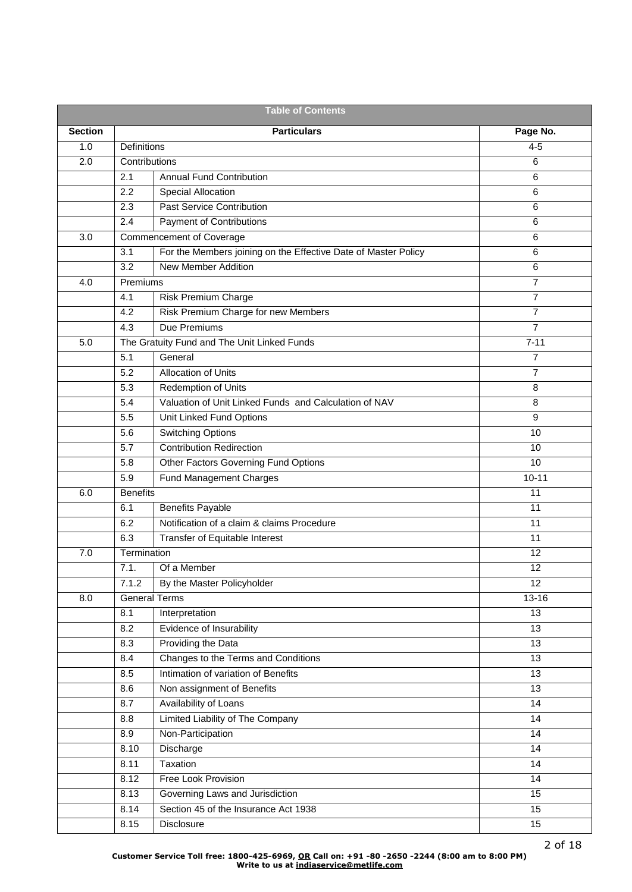| <b>Table of Contents</b> |                      |                                                                |                 |  |  |
|--------------------------|----------------------|----------------------------------------------------------------|-----------------|--|--|
| <b>Section</b>           |                      | <b>Particulars</b>                                             | Page No.        |  |  |
| 1.0                      | Definitions          |                                                                | $4 - 5$         |  |  |
| 2.0                      | Contributions        |                                                                | 6               |  |  |
|                          | 2.1                  | <b>Annual Fund Contribution</b>                                | 6               |  |  |
|                          | 2.2                  | Special Allocation                                             | 6               |  |  |
|                          | 2.3                  | <b>Past Service Contribution</b>                               | 6               |  |  |
|                          | 2.4                  | <b>Payment of Contributions</b>                                | 6               |  |  |
| 3.0                      |                      | <b>Commencement of Coverage</b>                                | 6               |  |  |
|                          | 3.1                  | For the Members joining on the Effective Date of Master Policy | 6               |  |  |
|                          | 3.2                  | <b>New Member Addition</b>                                     | 6               |  |  |
| 4.0                      | Premiums             |                                                                | $\overline{7}$  |  |  |
|                          | 4.1                  | <b>Risk Premium Charge</b>                                     | $\overline{7}$  |  |  |
|                          | 4.2                  | Risk Premium Charge for new Members                            | $\overline{7}$  |  |  |
|                          | 4.3                  | Due Premiums                                                   | $\overline{7}$  |  |  |
| 5.0                      |                      | The Gratuity Fund and The Unit Linked Funds                    | $7 - 11$        |  |  |
|                          | 5.1                  | General                                                        | 7               |  |  |
|                          | 5.2                  | <b>Allocation of Units</b>                                     | $\overline{7}$  |  |  |
|                          | 5.3                  | <b>Redemption of Units</b>                                     | 8               |  |  |
|                          | 5.4                  | Valuation of Unit Linked Funds and Calculation of NAV          | 8               |  |  |
|                          | 5.5                  | Unit Linked Fund Options                                       | 9               |  |  |
|                          | 5.6                  | <b>Switching Options</b>                                       | 10              |  |  |
|                          | 5.7                  | <b>Contribution Redirection</b>                                | 10              |  |  |
|                          | 5.8                  | Other Factors Governing Fund Options                           | 10              |  |  |
|                          | 5.9                  | Fund Management Charges                                        | $10 - 11$       |  |  |
| 6.0                      | <b>Benefits</b>      |                                                                | 11              |  |  |
|                          | 6.1                  | <b>Benefits Payable</b>                                        | 11              |  |  |
|                          | 6.2                  | Notification of a claim & claims Procedure                     | 11              |  |  |
|                          | 6.3                  | Transfer of Equitable Interest                                 | 11              |  |  |
| 7.0                      | Termination          |                                                                | 12              |  |  |
|                          | 7.1.                 | Of a Member                                                    | 12              |  |  |
|                          | 7.1.2                | By the Master Policyholder                                     | 12              |  |  |
| 8.0                      | <b>General Terms</b> |                                                                | $13 - 16$       |  |  |
|                          | 8.1                  | Interpretation                                                 | 13              |  |  |
|                          | 8.2                  | Evidence of Insurability                                       | 13              |  |  |
|                          | 8.3                  | Providing the Data                                             | 13              |  |  |
|                          | 8.4                  | Changes to the Terms and Conditions                            | 13              |  |  |
|                          | 8.5                  | Intimation of variation of Benefits                            | 13              |  |  |
|                          | 8.6                  | Non assignment of Benefits                                     | 13              |  |  |
|                          | 8.7                  | Availability of Loans                                          | $\overline{14}$ |  |  |
|                          | 8.8                  | <b>Limited Liability of The Company</b>                        | 14              |  |  |
|                          | 8.9                  | Non-Participation                                              | 14              |  |  |
|                          | 8.10                 | Discharge                                                      | 14              |  |  |
|                          | 8.11                 | Taxation                                                       | 14              |  |  |
|                          | 8.12                 | Free Look Provision                                            | 14              |  |  |
|                          | 8.13                 | Governing Laws and Jurisdiction                                | 15              |  |  |
|                          | 8.14                 | Section 45 of the Insurance Act 1938                           | 15              |  |  |
|                          | 8.15                 | Disclosure                                                     | 15              |  |  |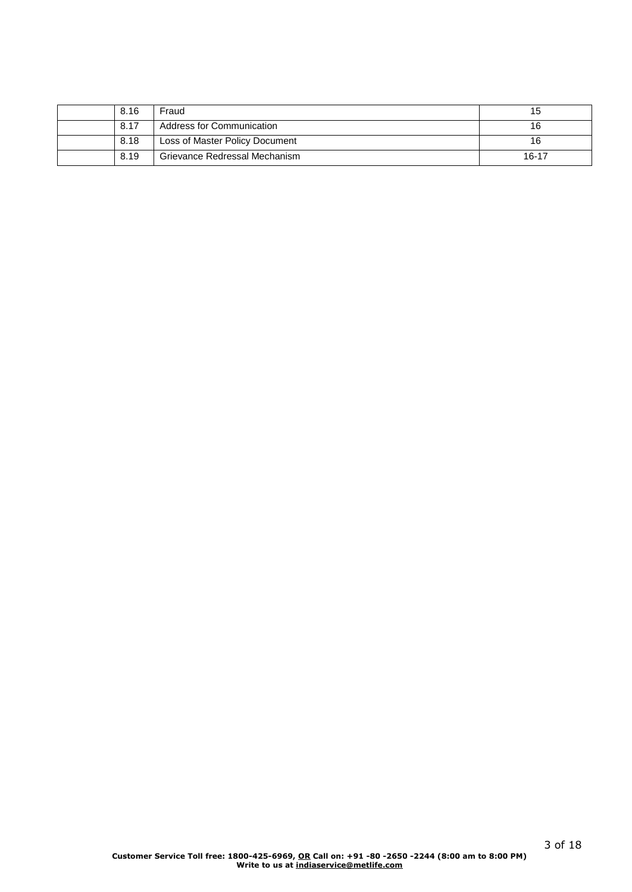| 8.16 | Fraud                          | 15    |
|------|--------------------------------|-------|
| 8.17 | Address for Communication      | 16    |
| 8.18 | Loss of Master Policy Document | 16    |
| 8.19 | Grievance Redressal Mechanism  | 16-17 |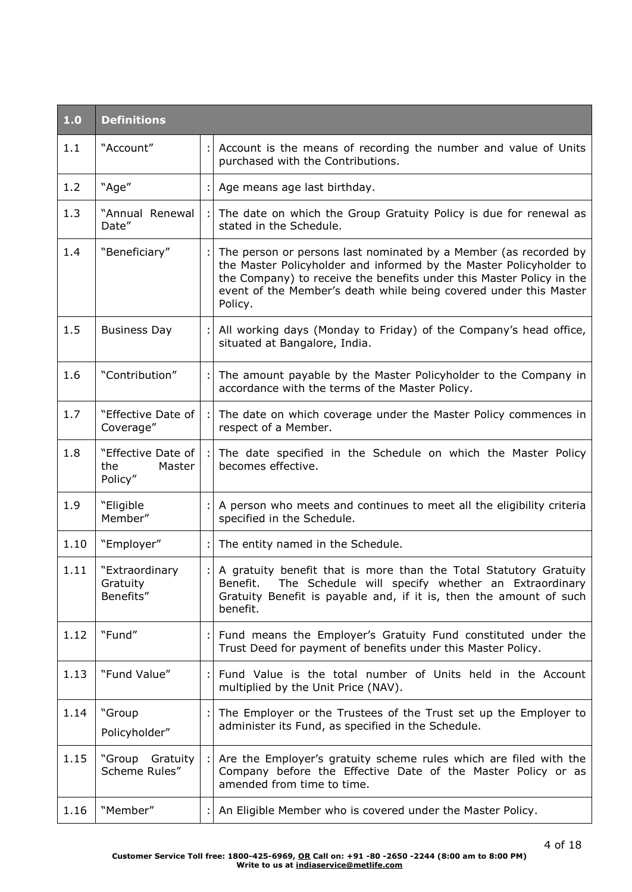| 1.0  | <b>Definitions</b>                             |    |                                                                                                                                                                                                                                                                                                |
|------|------------------------------------------------|----|------------------------------------------------------------------------------------------------------------------------------------------------------------------------------------------------------------------------------------------------------------------------------------------------|
| 1.1  | "Account"                                      | ÷l | Account is the means of recording the number and value of Units<br>purchased with the Contributions.                                                                                                                                                                                           |
| 1.2  | "Age"                                          |    | Age means age last birthday.                                                                                                                                                                                                                                                                   |
| 1.3  | "Annual Renewal<br>Date"                       |    | The date on which the Group Gratuity Policy is due for renewal as<br>stated in the Schedule.                                                                                                                                                                                                   |
| 1.4  | "Beneficiary"                                  |    | The person or persons last nominated by a Member (as recorded by<br>the Master Policyholder and informed by the Master Policyholder to<br>the Company) to receive the benefits under this Master Policy in the<br>event of the Member's death while being covered under this Master<br>Policy. |
| 1.5  | <b>Business Day</b>                            |    | All working days (Monday to Friday) of the Company's head office,<br>situated at Bangalore, India.                                                                                                                                                                                             |
| 1.6  | "Contribution"                                 |    | The amount payable by the Master Policyholder to the Company in<br>accordance with the terms of the Master Policy.                                                                                                                                                                             |
| 1.7  | "Effective Date of<br>Coverage"                |    | The date on which coverage under the Master Policy commences in<br>respect of a Member.                                                                                                                                                                                                        |
| 1.8  | "Effective Date of<br>the<br>Master<br>Policy" |    | The date specified in the Schedule on which the Master Policy<br>becomes effective.                                                                                                                                                                                                            |
| 1.9  | "Eligible<br>Member"                           |    | A person who meets and continues to meet all the eligibility criteria<br>specified in the Schedule.                                                                                                                                                                                            |
| 1.10 | "Employer"                                     |    | The entity named in the Schedule.                                                                                                                                                                                                                                                              |
| 1.11 | "Extraordinary<br>Gratuity<br>Benefits"        |    | A gratuity benefit that is more than the Total Statutory Gratuity<br>Benefit. The Schedule will specify whether an Extraordinary<br>Gratuity Benefit is payable and, if it is, then the amount of such<br>benefit.                                                                             |
| 1.12 | "Fund"                                         |    | Fund means the Employer's Gratuity Fund constituted under the<br>Trust Deed for payment of benefits under this Master Policy.                                                                                                                                                                  |
| 1.13 | "Fund Value"                                   |    | Fund Value is the total number of Units held in the Account<br>multiplied by the Unit Price (NAV).                                                                                                                                                                                             |
| 1.14 | "Group<br>Policyholder"                        |    | The Employer or the Trustees of the Trust set up the Employer to<br>administer its Fund, as specified in the Schedule.                                                                                                                                                                         |
| 1.15 | "Group Gratuity<br>Scheme Rules"               |    | Are the Employer's gratuity scheme rules which are filed with the<br>Company before the Effective Date of the Master Policy or as<br>amended from time to time.                                                                                                                                |
| 1.16 | "Member"                                       |    | An Eligible Member who is covered under the Master Policy.                                                                                                                                                                                                                                     |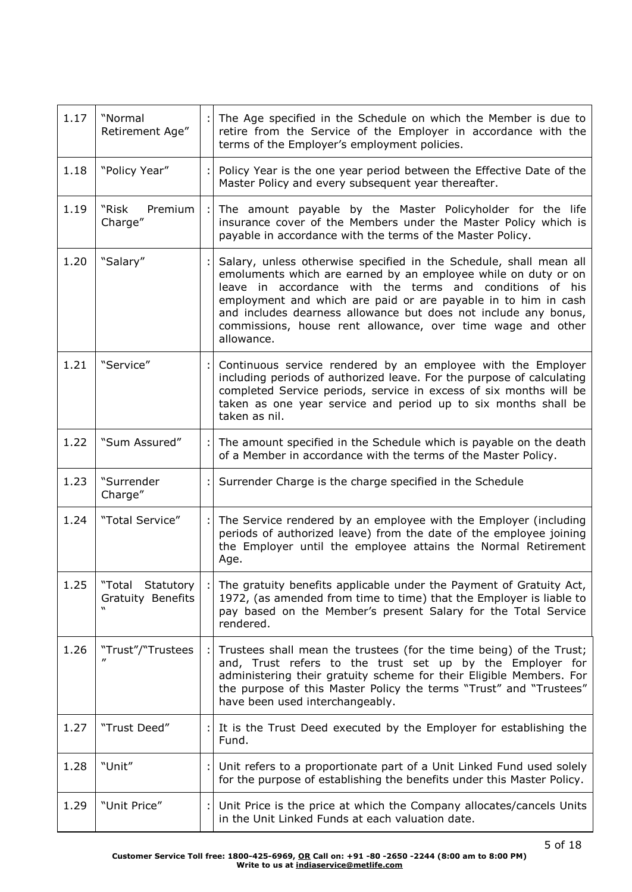| 1.17 | "Normal<br>Retirement Age"                        | The Age specified in the Schedule on which the Member is due to<br>retire from the Service of the Employer in accordance with the<br>terms of the Employer's employment policies.                                                                                                                                                                                                                                  |
|------|---------------------------------------------------|--------------------------------------------------------------------------------------------------------------------------------------------------------------------------------------------------------------------------------------------------------------------------------------------------------------------------------------------------------------------------------------------------------------------|
| 1.18 | "Policy Year"                                     | Policy Year is the one year period between the Effective Date of the<br>Master Policy and every subsequent year thereafter.                                                                                                                                                                                                                                                                                        |
| 1.19 | Premium<br>"Risk<br>Charge"                       | The amount payable by the Master Policyholder for the life<br>insurance cover of the Members under the Master Policy which is<br>payable in accordance with the terms of the Master Policy.                                                                                                                                                                                                                        |
| 1.20 | "Salary"                                          | Salary, unless otherwise specified in the Schedule, shall mean all<br>emoluments which are earned by an employee while on duty or on<br>leave in accordance with the terms and conditions of his<br>employment and which are paid or are payable in to him in cash<br>and includes dearness allowance but does not include any bonus,<br>commissions, house rent allowance, over time wage and other<br>allowance. |
| 1.21 | "Service"                                         | Continuous service rendered by an employee with the Employer<br>including periods of authorized leave. For the purpose of calculating<br>completed Service periods, service in excess of six months will be<br>taken as one year service and period up to six months shall be<br>taken as nil.                                                                                                                     |
| 1.22 | "Sum Assured"                                     | The amount specified in the Schedule which is payable on the death<br>of a Member in accordance with the terms of the Master Policy.                                                                                                                                                                                                                                                                               |
| 1.23 | "Surrender<br>Charge"                             | Surrender Charge is the charge specified in the Schedule                                                                                                                                                                                                                                                                                                                                                           |
| 1.24 | "Total Service"                                   | The Service rendered by an employee with the Employer (including<br>periods of authorized leave) from the date of the employee joining<br>the Employer until the employee attains the Normal Retirement<br>Age.                                                                                                                                                                                                    |
| 1.25 | "Total Statutory<br><b>Gratuity Benefits</b><br>w | The gratuity benefits applicable under the Payment of Gratuity Act,<br>1972, (as amended from time to time) that the Employer is liable to<br>pay based on the Member's present Salary for the Total Service<br>rendered.                                                                                                                                                                                          |
| 1.26 | "Trust"/"Trustees                                 | Trustees shall mean the trustees (for the time being) of the Trust;<br>and, Trust refers to the trust set up by the Employer for<br>administering their gratuity scheme for their Eligible Members. For<br>the purpose of this Master Policy the terms "Trust" and "Trustees"<br>have been used interchangeably.                                                                                                   |
| 1.27 | "Trust Deed"                                      | It is the Trust Deed executed by the Employer for establishing the<br>Fund.                                                                                                                                                                                                                                                                                                                                        |
| 1.28 | "Unit"                                            | Unit refers to a proportionate part of a Unit Linked Fund used solely<br>for the purpose of establishing the benefits under this Master Policy.                                                                                                                                                                                                                                                                    |
| 1.29 | "Unit Price"                                      | Unit Price is the price at which the Company allocates/cancels Units<br>in the Unit Linked Funds at each valuation date.                                                                                                                                                                                                                                                                                           |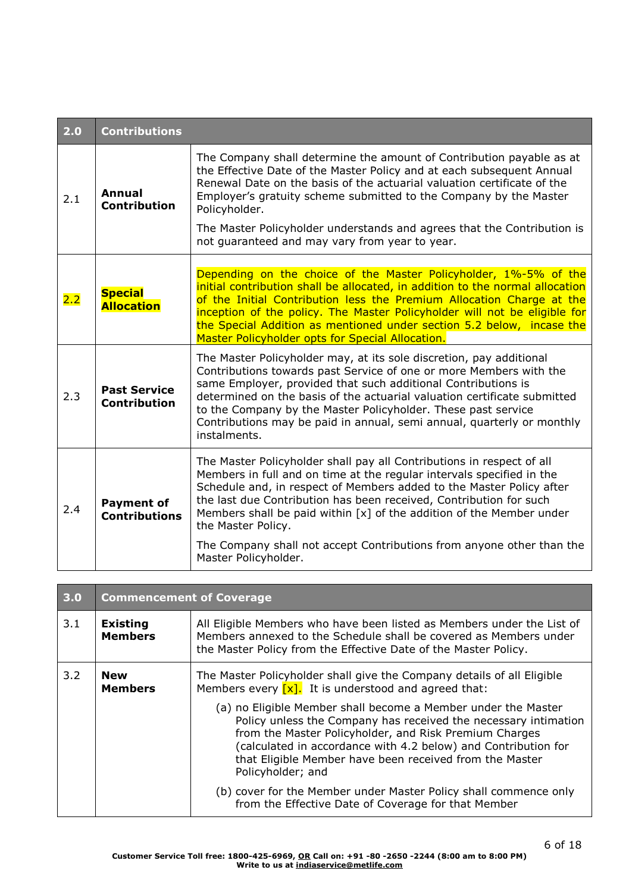| 2.0 | <b>Contributions</b>                       |                                                                                                                                                                                                                                                                                                                                                                                                                                                                       |  |
|-----|--------------------------------------------|-----------------------------------------------------------------------------------------------------------------------------------------------------------------------------------------------------------------------------------------------------------------------------------------------------------------------------------------------------------------------------------------------------------------------------------------------------------------------|--|
| 2.1 | Annual<br><b>Contribution</b>              | The Company shall determine the amount of Contribution payable as at<br>the Effective Date of the Master Policy and at each subsequent Annual<br>Renewal Date on the basis of the actuarial valuation certificate of the<br>Employer's gratuity scheme submitted to the Company by the Master<br>Policyholder.<br>The Master Policyholder understands and agrees that the Contribution is                                                                             |  |
|     |                                            | not guaranteed and may vary from year to year.                                                                                                                                                                                                                                                                                                                                                                                                                        |  |
| 2.2 | <b>Special</b><br><b>Allocation</b>        | Depending on the choice of the Master Policyholder, 1%-5% of the<br>initial contribution shall be allocated, in addition to the normal allocation<br>of the Initial Contribution less the Premium Allocation Charge at the<br>inception of the policy. The Master Policyholder will not be eligible for<br>the Special Addition as mentioned under section 5.2 below, incase the<br>Master Policyholder opts for Special Allocation.                                  |  |
| 2.3 | <b>Past Service</b><br><b>Contribution</b> | The Master Policyholder may, at its sole discretion, pay additional<br>Contributions towards past Service of one or more Members with the<br>same Employer, provided that such additional Contributions is<br>determined on the basis of the actuarial valuation certificate submitted<br>to the Company by the Master Policyholder. These past service<br>Contributions may be paid in annual, semi annual, quarterly or monthly<br>instalments.                     |  |
| 2.4 | <b>Payment of</b><br><b>Contributions</b>  | The Master Policyholder shall pay all Contributions in respect of all<br>Members in full and on time at the regular intervals specified in the<br>Schedule and, in respect of Members added to the Master Policy after<br>the last due Contribution has been received, Contribution for such<br>Members shall be paid within $[x]$ of the addition of the Member under<br>the Master Policy.<br>The Company shall not accept Contributions from anyone other than the |  |
|     |                                            | Master Policyholder.                                                                                                                                                                                                                                                                                                                                                                                                                                                  |  |

| 3.0 | <b>Commencement of Coverage</b>                                                                                                                                                                          |                                                                                                                                                                                                                                                                            |  |  |
|-----|----------------------------------------------------------------------------------------------------------------------------------------------------------------------------------------------------------|----------------------------------------------------------------------------------------------------------------------------------------------------------------------------------------------------------------------------------------------------------------------------|--|--|
| 3.1 | <b>Existing</b><br><b>Members</b>                                                                                                                                                                        | All Eligible Members who have been listed as Members under the List of<br>Members annexed to the Schedule shall be covered as Members under<br>the Master Policy from the Effective Date of the Master Policy.                                                             |  |  |
| 3.2 | <b>New</b><br><b>Members</b>                                                                                                                                                                             | The Master Policyholder shall give the Company details of all Eligible<br>Members every $\sqrt{x}$ . It is understood and agreed that:<br>(a) no Eligible Member shall become a Member under the Master<br>Policy unless the Company has received the necessary intimation |  |  |
|     | from the Master Policyholder, and Risk Premium Charges<br>(calculated in accordance with 4.2 below) and Contribution for<br>that Eligible Member have been received from the Master<br>Policyholder; and |                                                                                                                                                                                                                                                                            |  |  |
|     |                                                                                                                                                                                                          | (b) cover for the Member under Master Policy shall commence only<br>from the Effective Date of Coverage for that Member                                                                                                                                                    |  |  |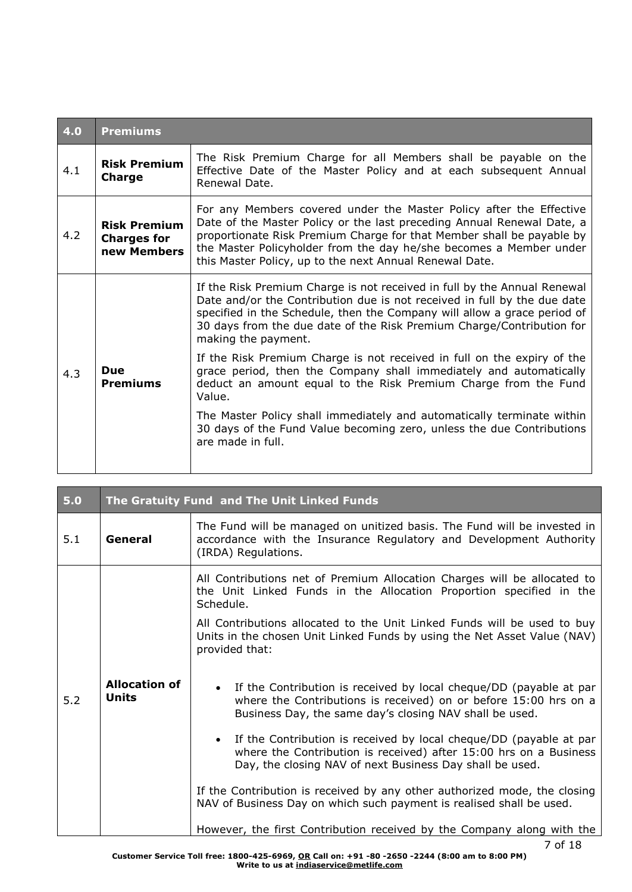| 4.0 | <b>Premiums</b>                                                                                                                                                                                                                                                                                                                                                                                                     |                                                                                                                                                                                                                                                                                                                                  |  |  |  |
|-----|---------------------------------------------------------------------------------------------------------------------------------------------------------------------------------------------------------------------------------------------------------------------------------------------------------------------------------------------------------------------------------------------------------------------|----------------------------------------------------------------------------------------------------------------------------------------------------------------------------------------------------------------------------------------------------------------------------------------------------------------------------------|--|--|--|
| 4.1 | <b>Risk Premium</b><br><b>Charge</b>                                                                                                                                                                                                                                                                                                                                                                                | The Risk Premium Charge for all Members shall be payable on the<br>Effective Date of the Master Policy and at each subsequent Annual<br>Renewal Date.                                                                                                                                                                            |  |  |  |
| 4.2 | For any Members covered under the Master Policy after the Effective<br>Date of the Master Policy or the last preceding Annual Renewal Date, a<br><b>Risk Premium</b><br>proportionate Risk Premium Charge for that Member shall be payable by<br><b>Charges for</b><br>the Master Policyholder from the day he/she becomes a Member under<br>new Members<br>this Master Policy, up to the next Annual Renewal Date. |                                                                                                                                                                                                                                                                                                                                  |  |  |  |
|     |                                                                                                                                                                                                                                                                                                                                                                                                                     | If the Risk Premium Charge is not received in full by the Annual Renewal<br>Date and/or the Contribution due is not received in full by the due date<br>specified in the Schedule, then the Company will allow a grace period of<br>30 days from the due date of the Risk Premium Charge/Contribution for<br>making the payment. |  |  |  |
| 4.3 | <b>Due</b><br><b>Premiums</b>                                                                                                                                                                                                                                                                                                                                                                                       | If the Risk Premium Charge is not received in full on the expiry of the<br>grace period, then the Company shall immediately and automatically<br>deduct an amount equal to the Risk Premium Charge from the Fund<br>Value.                                                                                                       |  |  |  |
|     |                                                                                                                                                                                                                                                                                                                                                                                                                     | The Master Policy shall immediately and automatically terminate within<br>30 days of the Fund Value becoming zero, unless the due Contributions<br>are made in full.                                                                                                                                                             |  |  |  |

| 5.0 |                                      | The Gratuity Fund and The Unit Linked Funds                                                                                                                                                                      |
|-----|--------------------------------------|------------------------------------------------------------------------------------------------------------------------------------------------------------------------------------------------------------------|
| 5.1 | General                              | The Fund will be managed on unitized basis. The Fund will be invested in<br>accordance with the Insurance Regulatory and Development Authority<br>(IRDA) Regulations.                                            |
|     |                                      | All Contributions net of Premium Allocation Charges will be allocated to<br>the Unit Linked Funds in the Allocation Proportion specified in the<br>Schedule.                                                     |
|     |                                      | All Contributions allocated to the Unit Linked Funds will be used to buy<br>Units in the chosen Unit Linked Funds by using the Net Asset Value (NAV)<br>provided that:                                           |
| 5.2 | <b>Allocation of</b><br><b>Units</b> | If the Contribution is received by local cheque/DD (payable at par<br>where the Contributions is received) on or before 15:00 hrs on a<br>Business Day, the same day's closing NAV shall be used.                |
|     |                                      | If the Contribution is received by local cheque/DD (payable at par<br>$\bullet$<br>where the Contribution is received) after 15:00 hrs on a Business<br>Day, the closing NAV of next Business Day shall be used. |
|     |                                      | If the Contribution is received by any other authorized mode, the closing<br>NAV of Business Day on which such payment is realised shall be used.                                                                |
|     |                                      | However, the first Contribution received by the Company along with the                                                                                                                                           |

and the first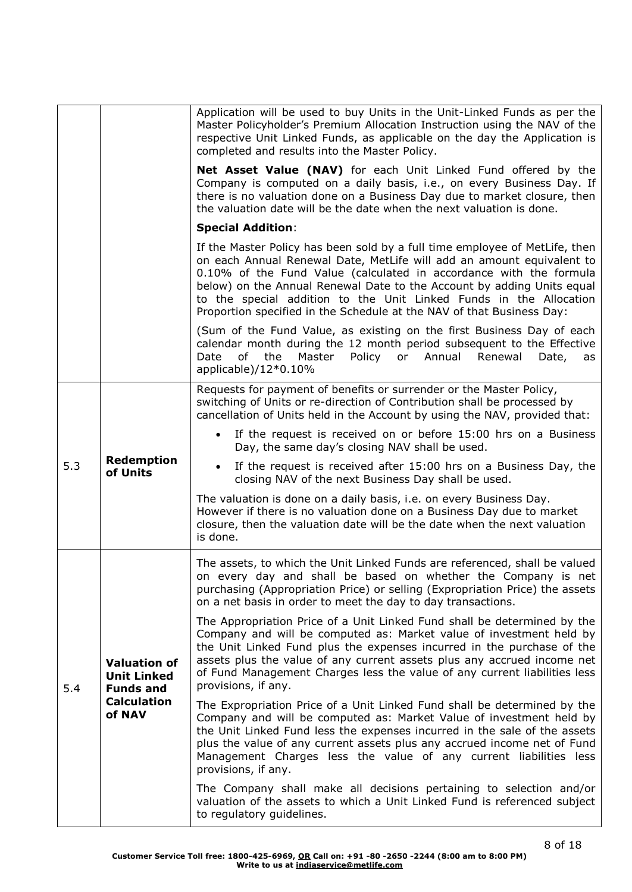|     |                                                                                               | Application will be used to buy Units in the Unit-Linked Funds as per the<br>Master Policyholder's Premium Allocation Instruction using the NAV of the<br>respective Unit Linked Funds, as applicable on the day the Application is<br>completed and results into the Master Policy.                                                                                                                                                                |
|-----|-----------------------------------------------------------------------------------------------|-----------------------------------------------------------------------------------------------------------------------------------------------------------------------------------------------------------------------------------------------------------------------------------------------------------------------------------------------------------------------------------------------------------------------------------------------------|
|     |                                                                                               | Net Asset Value (NAV) for each Unit Linked Fund offered by the<br>Company is computed on a daily basis, i.e., on every Business Day. If<br>there is no valuation done on a Business Day due to market closure, then<br>the valuation date will be the date when the next valuation is done.                                                                                                                                                         |
|     |                                                                                               | <b>Special Addition:</b>                                                                                                                                                                                                                                                                                                                                                                                                                            |
|     |                                                                                               | If the Master Policy has been sold by a full time employee of MetLife, then<br>on each Annual Renewal Date, MetLife will add an amount equivalent to<br>0.10% of the Fund Value (calculated in accordance with the formula<br>below) on the Annual Renewal Date to the Account by adding Units equal<br>to the special addition to the Unit Linked Funds in the Allocation<br>Proportion specified in the Schedule at the NAV of that Business Day: |
|     |                                                                                               | (Sum of the Fund Value, as existing on the first Business Day of each<br>calendar month during the 12 month period subsequent to the Effective<br>of<br>the<br>Master<br>Policy or Annual<br>Renewal<br>Date<br>Date,<br>as<br>applicable)/12*0.10%                                                                                                                                                                                                 |
|     | Redemption<br>of Units                                                                        | Requests for payment of benefits or surrender or the Master Policy,<br>switching of Units or re-direction of Contribution shall be processed by<br>cancellation of Units held in the Account by using the NAV, provided that:                                                                                                                                                                                                                       |
|     |                                                                                               | • If the request is received on or before 15:00 hrs on a Business<br>Day, the same day's closing NAV shall be used.                                                                                                                                                                                                                                                                                                                                 |
| 5.3 |                                                                                               | If the request is received after 15:00 hrs on a Business Day, the<br>closing NAV of the next Business Day shall be used.                                                                                                                                                                                                                                                                                                                            |
|     |                                                                                               | The valuation is done on a daily basis, i.e. on every Business Day.<br>However if there is no valuation done on a Business Day due to market<br>closure, then the valuation date will be the date when the next valuation<br>is done.                                                                                                                                                                                                               |
|     | <b>Valuation of</b><br><b>Unit Linked</b><br><b>Funds and</b><br><b>Calculation</b><br>of NAV | The assets, to which the Unit Linked Funds are referenced, shall be valued<br>on every day and shall be based on whether the Company is net<br>purchasing (Appropriation Price) or selling (Expropriation Price) the assets<br>on a net basis in order to meet the day to day transactions.                                                                                                                                                         |
| 5.4 |                                                                                               | The Appropriation Price of a Unit Linked Fund shall be determined by the<br>Company and will be computed as: Market value of investment held by<br>the Unit Linked Fund plus the expenses incurred in the purchase of the<br>assets plus the value of any current assets plus any accrued income net<br>of Fund Management Charges less the value of any current liabilities less<br>provisions, if any.                                            |
|     |                                                                                               | The Expropriation Price of a Unit Linked Fund shall be determined by the<br>Company and will be computed as: Market Value of investment held by<br>the Unit Linked Fund less the expenses incurred in the sale of the assets<br>plus the value of any current assets plus any accrued income net of Fund<br>Management Charges less the value of any current liabilities less<br>provisions, if any.                                                |
|     |                                                                                               | The Company shall make all decisions pertaining to selection and/or<br>valuation of the assets to which a Unit Linked Fund is referenced subject<br>to regulatory guidelines.                                                                                                                                                                                                                                                                       |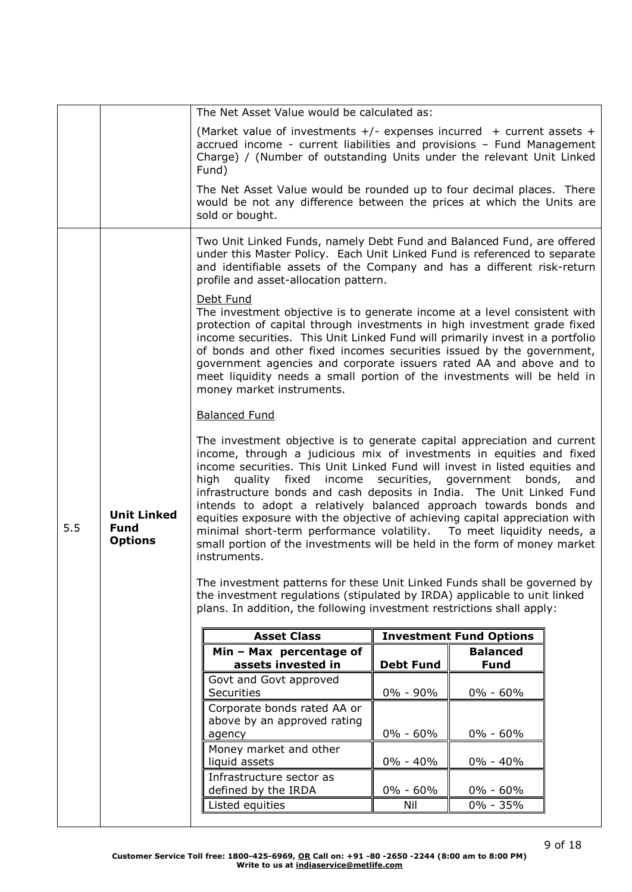|     |                                                     | The Net Asset Value would be calculated as:                                                                                                                                                                                                                                                                                                                                                                                                                                                                                                                                                                                                                                                                    |                  |                                |  |  |  |
|-----|-----------------------------------------------------|----------------------------------------------------------------------------------------------------------------------------------------------------------------------------------------------------------------------------------------------------------------------------------------------------------------------------------------------------------------------------------------------------------------------------------------------------------------------------------------------------------------------------------------------------------------------------------------------------------------------------------------------------------------------------------------------------------------|------------------|--------------------------------|--|--|--|
|     |                                                     | (Market value of investments $+/-$ expenses incurred $+$ current assets $+$<br>accrued income - current liabilities and provisions - Fund Management<br>Charge) / (Number of outstanding Units under the relevant Unit Linked<br>Fund)                                                                                                                                                                                                                                                                                                                                                                                                                                                                         |                  |                                |  |  |  |
|     |                                                     | The Net Asset Value would be rounded up to four decimal places. There<br>would be not any difference between the prices at which the Units are<br>sold or bought.                                                                                                                                                                                                                                                                                                                                                                                                                                                                                                                                              |                  |                                |  |  |  |
|     |                                                     | Two Unit Linked Funds, namely Debt Fund and Balanced Fund, are offered<br>under this Master Policy. Each Unit Linked Fund is referenced to separate<br>and identifiable assets of the Company and has a different risk-return<br>profile and asset-allocation pattern.                                                                                                                                                                                                                                                                                                                                                                                                                                         |                  |                                |  |  |  |
|     |                                                     | Debt Fund<br>The investment objective is to generate income at a level consistent with<br>protection of capital through investments in high investment grade fixed<br>income securities. This Unit Linked Fund will primarily invest in a portfolio<br>of bonds and other fixed incomes securities issued by the government,<br>government agencies and corporate issuers rated AA and above and to<br>meet liquidity needs a small portion of the investments will be held in<br>money market instruments.                                                                                                                                                                                                    |                  |                                |  |  |  |
|     |                                                     | <b>Balanced Fund</b>                                                                                                                                                                                                                                                                                                                                                                                                                                                                                                                                                                                                                                                                                           |                  |                                |  |  |  |
| 5.5 | <b>Unit Linked</b><br><b>Fund</b><br><b>Options</b> | The investment objective is to generate capital appreciation and current<br>income, through a judicious mix of investments in equities and fixed<br>income securities. This Unit Linked Fund will invest in listed equities and<br>income securities, government<br>high<br>quality fixed<br>bonds,<br>and<br>infrastructure bonds and cash deposits in India. The Unit Linked Fund<br>intends to adopt a relatively balanced approach towards bonds and<br>equities exposure with the objective of achieving capital appreciation with<br>minimal short-term performance volatility.  To meet liquidity needs, a<br>small portion of the investments will be held in the form of money market<br>instruments. |                  |                                |  |  |  |
|     |                                                     | The investment patterns for these Unit Linked Funds shall be governed by<br>the investment regulations (stipulated by IRDA) applicable to unit linked<br>plans. In addition, the following investment restrictions shall apply:                                                                                                                                                                                                                                                                                                                                                                                                                                                                                |                  |                                |  |  |  |
|     |                                                     | <b>Asset Class</b>                                                                                                                                                                                                                                                                                                                                                                                                                                                                                                                                                                                                                                                                                             |                  | <b>Investment Fund Options</b> |  |  |  |
|     |                                                     | Min - Max percentage of<br>assets invested in                                                                                                                                                                                                                                                                                                                                                                                                                                                                                                                                                                                                                                                                  | <b>Debt Fund</b> | <b>Balanced</b><br><b>Fund</b> |  |  |  |
|     |                                                     | Govt and Govt approved<br>Securities                                                                                                                                                                                                                                                                                                                                                                                                                                                                                                                                                                                                                                                                           | 0% - 90%         | $0\% - 60\%$                   |  |  |  |
|     |                                                     | Corporate bonds rated AA or<br>above by an approved rating                                                                                                                                                                                                                                                                                                                                                                                                                                                                                                                                                                                                                                                     |                  |                                |  |  |  |
|     |                                                     | agency                                                                                                                                                                                                                                                                                                                                                                                                                                                                                                                                                                                                                                                                                                         | $0\% - 60\%$     | 0% - 60%                       |  |  |  |
|     |                                                     | Money market and other<br>liquid assets                                                                                                                                                                                                                                                                                                                                                                                                                                                                                                                                                                                                                                                                        | $0\% - 40\%$     | 0% - 40%                       |  |  |  |
|     |                                                     | Infrastructure sector as<br>defined by the IRDA                                                                                                                                                                                                                                                                                                                                                                                                                                                                                                                                                                                                                                                                | $0\% - 60\%$     | 0% - 60%                       |  |  |  |
|     |                                                     | Listed equities                                                                                                                                                                                                                                                                                                                                                                                                                                                                                                                                                                                                                                                                                                | Nil              | 0% - 35%                       |  |  |  |
|     |                                                     |                                                                                                                                                                                                                                                                                                                                                                                                                                                                                                                                                                                                                                                                                                                |                  |                                |  |  |  |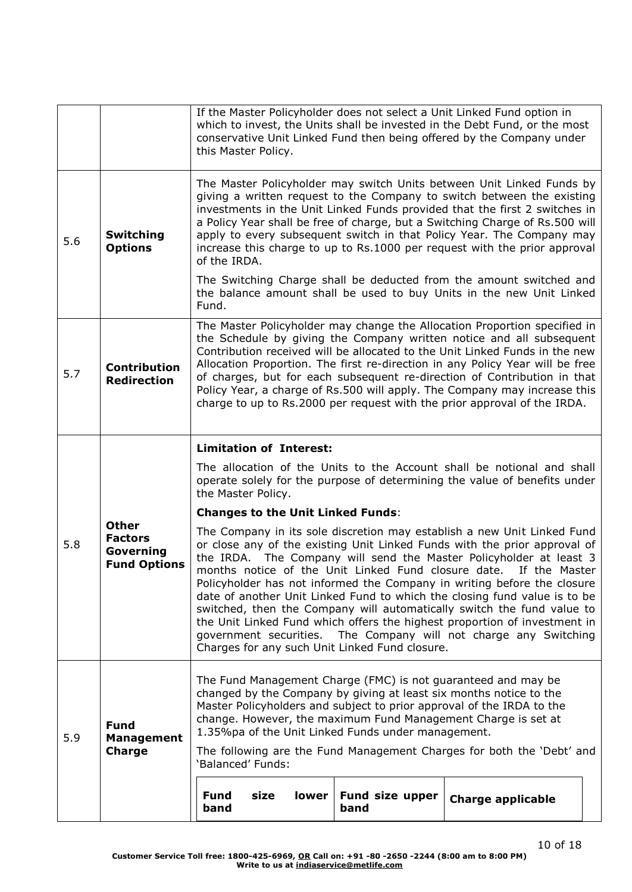|     |                                                                    | If the Master Policyholder does not select a Unit Linked Fund option in<br>which to invest, the Units shall be invested in the Debt Fund, or the most<br>conservative Unit Linked Fund then being offered by the Company under<br>this Master Policy.                                                                                                                                                                                                                                                                                                  |                         |                                                                                                                                                                                                                                                                                                                                                                                                                                                                                                                                                                                                                                                                                    |  |  |
|-----|--------------------------------------------------------------------|--------------------------------------------------------------------------------------------------------------------------------------------------------------------------------------------------------------------------------------------------------------------------------------------------------------------------------------------------------------------------------------------------------------------------------------------------------------------------------------------------------------------------------------------------------|-------------------------|------------------------------------------------------------------------------------------------------------------------------------------------------------------------------------------------------------------------------------------------------------------------------------------------------------------------------------------------------------------------------------------------------------------------------------------------------------------------------------------------------------------------------------------------------------------------------------------------------------------------------------------------------------------------------------|--|--|
| 5.6 | <b>Switching</b><br><b>Options</b>                                 | The Master Policyholder may switch Units between Unit Linked Funds by<br>giving a written request to the Company to switch between the existing<br>investments in the Unit Linked Funds provided that the first 2 switches in<br>a Policy Year shall be free of charge, but a Switching Charge of Rs.500 will<br>apply to every subsequent switch in that Policy Year. The Company may<br>increase this charge to up to Rs.1000 per request with the prior approval<br>of the IRDA.                                                                    |                         |                                                                                                                                                                                                                                                                                                                                                                                                                                                                                                                                                                                                                                                                                    |  |  |
|     |                                                                    | Fund.                                                                                                                                                                                                                                                                                                                                                                                                                                                                                                                                                  |                         | The Switching Charge shall be deducted from the amount switched and<br>the balance amount shall be used to buy Units in the new Unit Linked                                                                                                                                                                                                                                                                                                                                                                                                                                                                                                                                        |  |  |
| 5.7 | <b>Contribution</b><br><b>Redirection</b>                          | The Master Policyholder may change the Allocation Proportion specified in<br>the Schedule by giving the Company written notice and all subsequent<br>Contribution received will be allocated to the Unit Linked Funds in the new<br>Allocation Proportion. The first re-direction in any Policy Year will be free<br>of charges, but for each subsequent re-direction of Contribution in that<br>Policy Year, a charge of Rs.500 will apply. The Company may increase this<br>charge to up to Rs.2000 per request with the prior approval of the IRDA. |                         |                                                                                                                                                                                                                                                                                                                                                                                                                                                                                                                                                                                                                                                                                    |  |  |
|     | <b>Other</b><br><b>Factors</b><br>Governing<br><b>Fund Options</b> | <b>Limitation of Interest:</b>                                                                                                                                                                                                                                                                                                                                                                                                                                                                                                                         |                         |                                                                                                                                                                                                                                                                                                                                                                                                                                                                                                                                                                                                                                                                                    |  |  |
|     |                                                                    | The allocation of the Units to the Account shall be notional and shall<br>operate solely for the purpose of determining the value of benefits under<br>the Master Policy.                                                                                                                                                                                                                                                                                                                                                                              |                         |                                                                                                                                                                                                                                                                                                                                                                                                                                                                                                                                                                                                                                                                                    |  |  |
|     |                                                                    | <b>Changes to the Unit Linked Funds:</b>                                                                                                                                                                                                                                                                                                                                                                                                                                                                                                               |                         |                                                                                                                                                                                                                                                                                                                                                                                                                                                                                                                                                                                                                                                                                    |  |  |
| 5.8 |                                                                    | Charges for any such Unit Linked Fund closure.                                                                                                                                                                                                                                                                                                                                                                                                                                                                                                         |                         | The Company in its sole discretion may establish a new Unit Linked Fund<br>or close any of the existing Unit Linked Funds with the prior approval of<br>the IRDA. The Company will send the Master Policyholder at least 3<br>months notice of the Unit Linked Fund closure date. If the Master<br>Policyholder has not informed the Company in writing before the closure<br>date of another Unit Linked Fund to which the closing fund value is to be<br>switched, then the Company will automatically switch the fund value to<br>the Unit Linked Fund which offers the highest proportion of investment in<br>government securities. The Company will not charge any Switching |  |  |
| 5.9 | <b>Fund</b><br><b>Management</b>                                   | The Fund Management Charge (FMC) is not guaranteed and may be<br>changed by the Company by giving at least six months notice to the<br>Master Policyholders and subject to prior approval of the IRDA to the<br>change. However, the maximum Fund Management Charge is set at<br>1.35%pa of the Unit Linked Funds under management.                                                                                                                                                                                                                    |                         |                                                                                                                                                                                                                                                                                                                                                                                                                                                                                                                                                                                                                                                                                    |  |  |
|     | Charge                                                             | 'Balanced' Funds:                                                                                                                                                                                                                                                                                                                                                                                                                                                                                                                                      |                         | The following are the Fund Management Charges for both the 'Debt' and                                                                                                                                                                                                                                                                                                                                                                                                                                                                                                                                                                                                              |  |  |
|     |                                                                    | lower<br><b>Fund</b><br>size<br>band                                                                                                                                                                                                                                                                                                                                                                                                                                                                                                                   | Fund size upper<br>band | <b>Charge applicable</b>                                                                                                                                                                                                                                                                                                                                                                                                                                                                                                                                                                                                                                                           |  |  |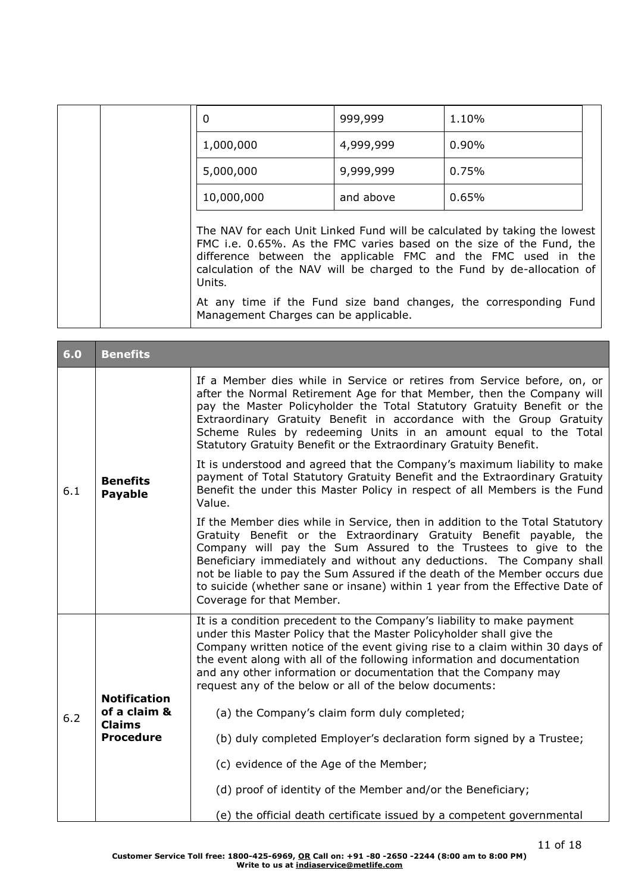|  | 0                                                                                                          | 999,999   | 1.10%                                                                                                                                                                                                                       |  |
|--|------------------------------------------------------------------------------------------------------------|-----------|-----------------------------------------------------------------------------------------------------------------------------------------------------------------------------------------------------------------------------|--|
|  | 1,000,000                                                                                                  | 4,999,999 | $0.90\%$                                                                                                                                                                                                                    |  |
|  | 5,000,000                                                                                                  | 9,999,999 | 0.75%                                                                                                                                                                                                                       |  |
|  | 10,000,000                                                                                                 | and above | 0.65%                                                                                                                                                                                                                       |  |
|  | difference between the applicable FMC and the FMC used in the<br>Units.                                    |           | The NAV for each Unit Linked Fund will be calculated by taking the lowest<br>FMC i.e. 0.65%. As the FMC varies based on the size of the Fund, the<br>calculation of the NAV will be charged to the Fund by de-allocation of |  |
|  | At any time if the Fund size band changes, the corresponding Fund<br>Management Charges can be applicable. |           |                                                                                                                                                                                                                             |  |

| 6.0 | <b>Benefits</b>                     |                                                                                                                                                                                                                                                                                                                                                                                                                                                                                            |
|-----|-------------------------------------|--------------------------------------------------------------------------------------------------------------------------------------------------------------------------------------------------------------------------------------------------------------------------------------------------------------------------------------------------------------------------------------------------------------------------------------------------------------------------------------------|
|     |                                     | If a Member dies while in Service or retires from Service before, on, or<br>after the Normal Retirement Age for that Member, then the Company will<br>pay the Master Policyholder the Total Statutory Gratuity Benefit or the<br>Extraordinary Gratuity Benefit in accordance with the Group Gratuity<br>Scheme Rules by redeeming Units in an amount equal to the Total<br>Statutory Gratuity Benefit or the Extraordinary Gratuity Benefit.                                              |
| 6.1 | <b>Benefits</b><br><b>Payable</b>   | It is understood and agreed that the Company's maximum liability to make<br>payment of Total Statutory Gratuity Benefit and the Extraordinary Gratuity<br>Benefit the under this Master Policy in respect of all Members is the Fund<br>Value.                                                                                                                                                                                                                                             |
|     |                                     | If the Member dies while in Service, then in addition to the Total Statutory<br>Gratuity Benefit or the Extraordinary Gratuity Benefit payable, the<br>Company will pay the Sum Assured to the Trustees to give to the<br>Beneficiary immediately and without any deductions. The Company shall<br>not be liable to pay the Sum Assured if the death of the Member occurs due<br>to suicide (whether sane or insane) within 1 year from the Effective Date of<br>Coverage for that Member. |
| 6.2 | <b>Notification</b><br>of a claim & | It is a condition precedent to the Company's liability to make payment<br>under this Master Policy that the Master Policyholder shall give the<br>Company written notice of the event giving rise to a claim within 30 days of<br>the event along with all of the following information and documentation<br>and any other information or documentation that the Company may<br>request any of the below or all of the below documents:<br>(a) the Company's claim form duly completed;    |
|     | <b>Claims</b><br><b>Procedure</b>   | (b) duly completed Employer's declaration form signed by a Trustee;                                                                                                                                                                                                                                                                                                                                                                                                                        |
|     |                                     | (c) evidence of the Age of the Member;<br>(d) proof of identity of the Member and/or the Beneficiary;                                                                                                                                                                                                                                                                                                                                                                                      |
|     |                                     | (e) the official death certificate issued by a competent governmental                                                                                                                                                                                                                                                                                                                                                                                                                      |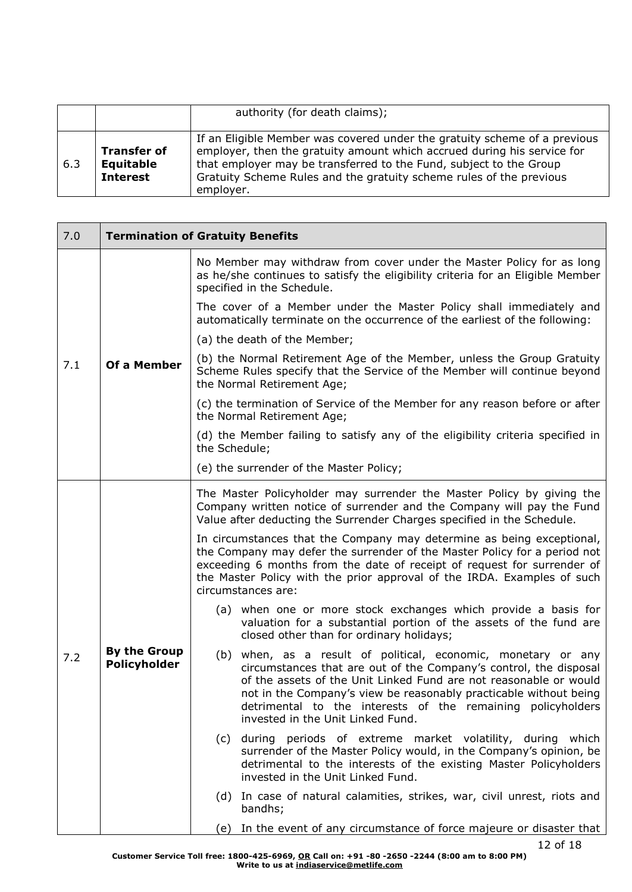|     |                                                    | authority (for death claims);                                                                                                                                                                                                                                                                                  |
|-----|----------------------------------------------------|----------------------------------------------------------------------------------------------------------------------------------------------------------------------------------------------------------------------------------------------------------------------------------------------------------------|
| 6.3 | <b>Transfer of</b><br>Equitable<br><b>Interest</b> | If an Eligible Member was covered under the gratuity scheme of a previous<br>employer, then the gratuity amount which accrued during his service for<br>that employer may be transferred to the Fund, subject to the Group<br>Gratuity Scheme Rules and the gratuity scheme rules of the previous<br>employer. |

| 7.0 | <b>Termination of Gratuity Benefits</b>    |                                                                                                                                                                                                                                                                                                                                                                                  |  |
|-----|--------------------------------------------|----------------------------------------------------------------------------------------------------------------------------------------------------------------------------------------------------------------------------------------------------------------------------------------------------------------------------------------------------------------------------------|--|
| 7.1 | Of a Member                                | No Member may withdraw from cover under the Master Policy for as long<br>as he/she continues to satisfy the eligibility criteria for an Eligible Member<br>specified in the Schedule.                                                                                                                                                                                            |  |
|     |                                            | The cover of a Member under the Master Policy shall immediately and<br>automatically terminate on the occurrence of the earliest of the following:                                                                                                                                                                                                                               |  |
|     |                                            | (a) the death of the Member;                                                                                                                                                                                                                                                                                                                                                     |  |
|     |                                            | (b) the Normal Retirement Age of the Member, unless the Group Gratuity<br>Scheme Rules specify that the Service of the Member will continue beyond<br>the Normal Retirement Age;                                                                                                                                                                                                 |  |
|     |                                            | (c) the termination of Service of the Member for any reason before or after<br>the Normal Retirement Age;                                                                                                                                                                                                                                                                        |  |
|     |                                            | (d) the Member failing to satisfy any of the eligibility criteria specified in<br>the Schedule;                                                                                                                                                                                                                                                                                  |  |
|     |                                            | (e) the surrender of the Master Policy;                                                                                                                                                                                                                                                                                                                                          |  |
| 7.2 | <b>By the Group</b><br><b>Policyholder</b> | The Master Policyholder may surrender the Master Policy by giving the<br>Company written notice of surrender and the Company will pay the Fund<br>Value after deducting the Surrender Charges specified in the Schedule.                                                                                                                                                         |  |
|     |                                            | In circumstances that the Company may determine as being exceptional,<br>the Company may defer the surrender of the Master Policy for a period not<br>exceeding 6 months from the date of receipt of request for surrender of<br>the Master Policy with the prior approval of the IRDA. Examples of such<br>circumstances are:                                                   |  |
|     |                                            | (a) when one or more stock exchanges which provide a basis for<br>valuation for a substantial portion of the assets of the fund are<br>closed other than for ordinary holidays;                                                                                                                                                                                                  |  |
|     |                                            | (b) when, as a result of political, economic, monetary or any<br>circumstances that are out of the Company's control, the disposal<br>of the assets of the Unit Linked Fund are not reasonable or would<br>not in the Company's view be reasonably practicable without being<br>detrimental to the interests of the remaining policyholders<br>invested in the Unit Linked Fund. |  |
|     |                                            | during periods of extreme market volatility, during which<br>(C)<br>surrender of the Master Policy would, in the Company's opinion, be<br>detrimental to the interests of the existing Master Policyholders<br>invested in the Unit Linked Fund.                                                                                                                                 |  |
|     |                                            | (d) In case of natural calamities, strikes, war, civil unrest, riots and<br>bandhs;                                                                                                                                                                                                                                                                                              |  |
|     |                                            | (e) In the event of any circumstance of force majeure or disaster that                                                                                                                                                                                                                                                                                                           |  |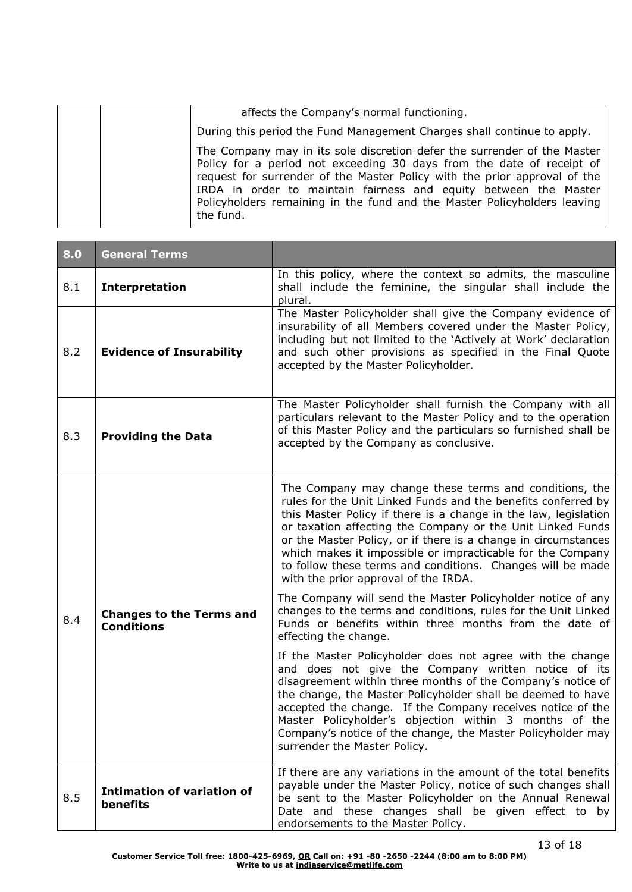| affects the Company's normal functioning.                                                                                                                                                                                                                                                                                                                                                   |
|---------------------------------------------------------------------------------------------------------------------------------------------------------------------------------------------------------------------------------------------------------------------------------------------------------------------------------------------------------------------------------------------|
| During this period the Fund Management Charges shall continue to apply.                                                                                                                                                                                                                                                                                                                     |
| The Company may in its sole discretion defer the surrender of the Master<br>Policy for a period not exceeding 30 days from the date of receipt of<br>request for surrender of the Master Policy with the prior approval of the<br>IRDA in order to maintain fairness and equity between the Master<br>Policyholders remaining in the fund and the Master Policyholders leaving<br>the fund. |

| 8.0 | <b>General Terms</b>                                 |                                                                                                                                                                                                                                                                                                                                                                                                                                                                                                |
|-----|------------------------------------------------------|------------------------------------------------------------------------------------------------------------------------------------------------------------------------------------------------------------------------------------------------------------------------------------------------------------------------------------------------------------------------------------------------------------------------------------------------------------------------------------------------|
| 8.1 | <b>Interpretation</b>                                | In this policy, where the context so admits, the masculine<br>shall include the feminine, the singular shall include the<br>plural.                                                                                                                                                                                                                                                                                                                                                            |
| 8.2 | <b>Evidence of Insurability</b>                      | The Master Policyholder shall give the Company evidence of<br>insurability of all Members covered under the Master Policy,<br>including but not limited to the 'Actively at Work' declaration<br>and such other provisions as specified in the Final Quote<br>accepted by the Master Policyholder.                                                                                                                                                                                             |
| 8.3 | <b>Providing the Data</b>                            | The Master Policyholder shall furnish the Company with all<br>particulars relevant to the Master Policy and to the operation<br>of this Master Policy and the particulars so furnished shall be<br>accepted by the Company as conclusive.                                                                                                                                                                                                                                                      |
|     |                                                      | The Company may change these terms and conditions, the<br>rules for the Unit Linked Funds and the benefits conferred by<br>this Master Policy if there is a change in the law, legislation<br>or taxation affecting the Company or the Unit Linked Funds<br>or the Master Policy, or if there is a change in circumstances<br>which makes it impossible or impracticable for the Company<br>to follow these terms and conditions. Changes will be made<br>with the prior approval of the IRDA. |
| 8.4 | <b>Changes to the Terms and</b><br><b>Conditions</b> | The Company will send the Master Policyholder notice of any<br>changes to the terms and conditions, rules for the Unit Linked<br>Funds or benefits within three months from the date of<br>effecting the change.                                                                                                                                                                                                                                                                               |
|     |                                                      | If the Master Policyholder does not agree with the change<br>and does not give the Company written notice of its<br>disagreement within three months of the Company's notice of<br>the change, the Master Policyholder shall be deemed to have<br>accepted the change. If the Company receives notice of the<br>Master Policyholder's objection within 3 months of the<br>Company's notice of the change, the Master Policyholder may<br>surrender the Master Policy.                          |
| 8.5 | <b>Intimation of variation of</b><br>benefits        | If there are any variations in the amount of the total benefits<br>payable under the Master Policy, notice of such changes shall<br>be sent to the Master Policyholder on the Annual Renewal<br>Date and these changes shall be given effect to by<br>endorsements to the Master Policy.                                                                                                                                                                                                       |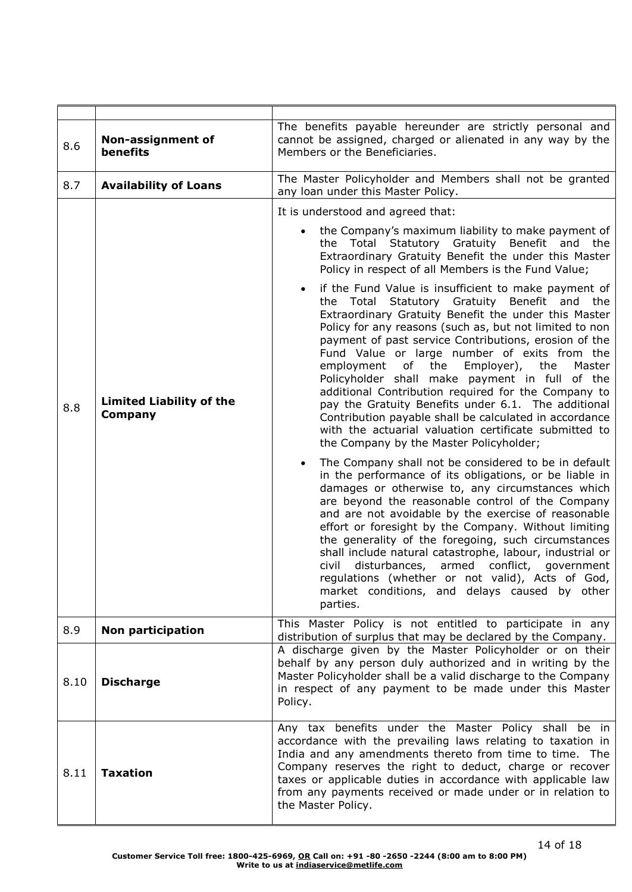| 8.6  | Non-assignment of<br><b>benefits</b>              | The benefits payable hereunder are strictly personal and<br>cannot be assigned, charged or alienated in any way by the<br>Members or the Beneficiaries.                                                                                                                                                                                                                                                                                                                                                                                                                                                                                                                                                            |
|------|---------------------------------------------------|--------------------------------------------------------------------------------------------------------------------------------------------------------------------------------------------------------------------------------------------------------------------------------------------------------------------------------------------------------------------------------------------------------------------------------------------------------------------------------------------------------------------------------------------------------------------------------------------------------------------------------------------------------------------------------------------------------------------|
| 8.7  | <b>Availability of Loans</b>                      | The Master Policyholder and Members shall not be granted<br>any loan under this Master Policy.                                                                                                                                                                                                                                                                                                                                                                                                                                                                                                                                                                                                                     |
|      |                                                   | It is understood and agreed that:                                                                                                                                                                                                                                                                                                                                                                                                                                                                                                                                                                                                                                                                                  |
|      |                                                   | • the Company's maximum liability to make payment of<br>the Total Statutory Gratuity Benefit and<br>the<br>Extraordinary Gratuity Benefit the under this Master<br>Policy in respect of all Members is the Fund Value;                                                                                                                                                                                                                                                                                                                                                                                                                                                                                             |
| 8.8  | <b>Limited Liability of the</b><br><b>Company</b> | if the Fund Value is insufficient to make payment of<br>the Total Statutory Gratuity Benefit and the<br>Extraordinary Gratuity Benefit the under this Master<br>Policy for any reasons (such as, but not limited to non<br>payment of past service Contributions, erosion of the<br>Fund Value or large number of exits from the<br>employment<br>of the Employer),<br>the<br>Master<br>Policyholder shall make payment in full of the<br>additional Contribution required for the Company to<br>pay the Gratuity Benefits under 6.1. The additional<br>Contribution payable shall be calculated in accordance<br>with the actuarial valuation certificate submitted to<br>the Company by the Master Policyholder; |
|      |                                                   | The Company shall not be considered to be in default<br>in the performance of its obligations, or be liable in<br>damages or otherwise to, any circumstances which<br>are beyond the reasonable control of the Company<br>and are not avoidable by the exercise of reasonable<br>effort or foresight by the Company. Without limiting<br>the generality of the foregoing, such circumstances<br>shall include natural catastrophe, labour, industrial or<br>disturbances, armed conflict, government<br>civil<br>regulations (whether or not valid), Acts of God,<br>market conditions, and delays caused by other<br>parties.                                                                                     |
| 8.9  | Non participation                                 | This Master Policy is not entitled to participate in any                                                                                                                                                                                                                                                                                                                                                                                                                                                                                                                                                                                                                                                           |
| 8.10 | <b>Discharge</b>                                  | distribution of surplus that may be declared by the Company.<br>A discharge given by the Master Policyholder or on their<br>behalf by any person duly authorized and in writing by the<br>Master Policyholder shall be a valid discharge to the Company<br>in respect of any payment to be made under this Master<br>Policy.                                                                                                                                                                                                                                                                                                                                                                                       |
| 8.11 | <b>Taxation</b>                                   | Any tax benefits under the Master Policy shall be in<br>accordance with the prevailing laws relating to taxation in<br>India and any amendments thereto from time to time. The<br>Company reserves the right to deduct, charge or recover<br>taxes or applicable duties in accordance with applicable law<br>from any payments received or made under or in relation to<br>the Master Policy.                                                                                                                                                                                                                                                                                                                      |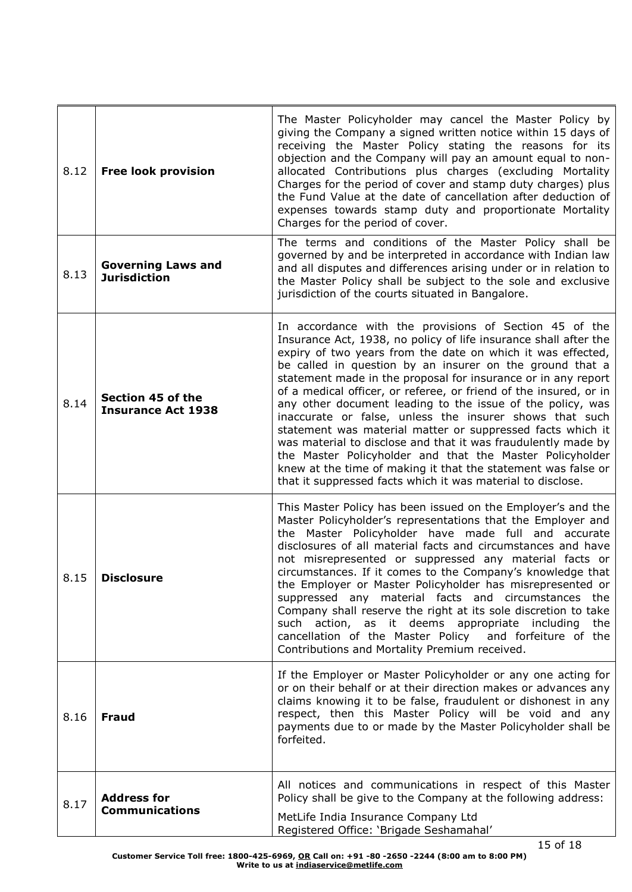| 8.12 | <b>Free look provision</b>                       | The Master Policyholder may cancel the Master Policy by<br>giving the Company a signed written notice within 15 days of<br>receiving the Master Policy stating the reasons for its<br>objection and the Company will pay an amount equal to non-<br>allocated Contributions plus charges (excluding Mortality<br>Charges for the period of cover and stamp duty charges) plus<br>the Fund Value at the date of cancellation after deduction of<br>expenses towards stamp duty and proportionate Mortality<br>Charges for the period of cover.                                                                                                                                                                                                                                                                                                   |
|------|--------------------------------------------------|-------------------------------------------------------------------------------------------------------------------------------------------------------------------------------------------------------------------------------------------------------------------------------------------------------------------------------------------------------------------------------------------------------------------------------------------------------------------------------------------------------------------------------------------------------------------------------------------------------------------------------------------------------------------------------------------------------------------------------------------------------------------------------------------------------------------------------------------------|
| 8.13 | <b>Governing Laws and</b><br><b>Jurisdiction</b> | The terms and conditions of the Master Policy shall be<br>governed by and be interpreted in accordance with Indian law<br>and all disputes and differences arising under or in relation to<br>the Master Policy shall be subject to the sole and exclusive<br>jurisdiction of the courts situated in Bangalore.                                                                                                                                                                                                                                                                                                                                                                                                                                                                                                                                 |
| 8.14 | Section 45 of the<br><b>Insurance Act 1938</b>   | In accordance with the provisions of Section 45 of the<br>Insurance Act, 1938, no policy of life insurance shall after the<br>expiry of two years from the date on which it was effected,<br>be called in question by an insurer on the ground that a<br>statement made in the proposal for insurance or in any report<br>of a medical officer, or referee, or friend of the insured, or in<br>any other document leading to the issue of the policy, was<br>inaccurate or false, unless the insurer shows that such<br>statement was material matter or suppressed facts which it<br>was material to disclose and that it was fraudulently made by<br>the Master Policyholder and that the Master Policyholder<br>knew at the time of making it that the statement was false or<br>that it suppressed facts which it was material to disclose. |
| 8.15 | <b>Disclosure</b>                                | This Master Policy has been issued on the Employer's and the<br>Master Policyholder's representations that the Employer and<br>the Master Policyholder have made full and accurate<br>disclosures of all material facts and circumstances and have<br>not misrepresented or suppressed any material facts or<br>circumstances. If it comes to the Company's knowledge that<br>the Employer or Master Policyholder has misrepresented or<br>suppressed any material facts and circumstances the<br>Company shall reserve the right at its sole discretion to take<br>such action, as it deems appropriate including<br>the<br>cancellation of the Master Policy<br>and forfeiture of the<br>Contributions and Mortality Premium received.                                                                                                        |
| 8.16 | <b>Fraud</b>                                     | If the Employer or Master Policyholder or any one acting for<br>or on their behalf or at their direction makes or advances any<br>claims knowing it to be false, fraudulent or dishonest in any<br>respect, then this Master Policy will be void and any<br>payments due to or made by the Master Policyholder shall be<br>forfeited.                                                                                                                                                                                                                                                                                                                                                                                                                                                                                                           |
| 8.17 | <b>Address for</b><br><b>Communications</b>      | All notices and communications in respect of this Master<br>Policy shall be give to the Company at the following address:<br>MetLife India Insurance Company Ltd<br>Registered Office: 'Brigade Seshamahal'                                                                                                                                                                                                                                                                                                                                                                                                                                                                                                                                                                                                                                     |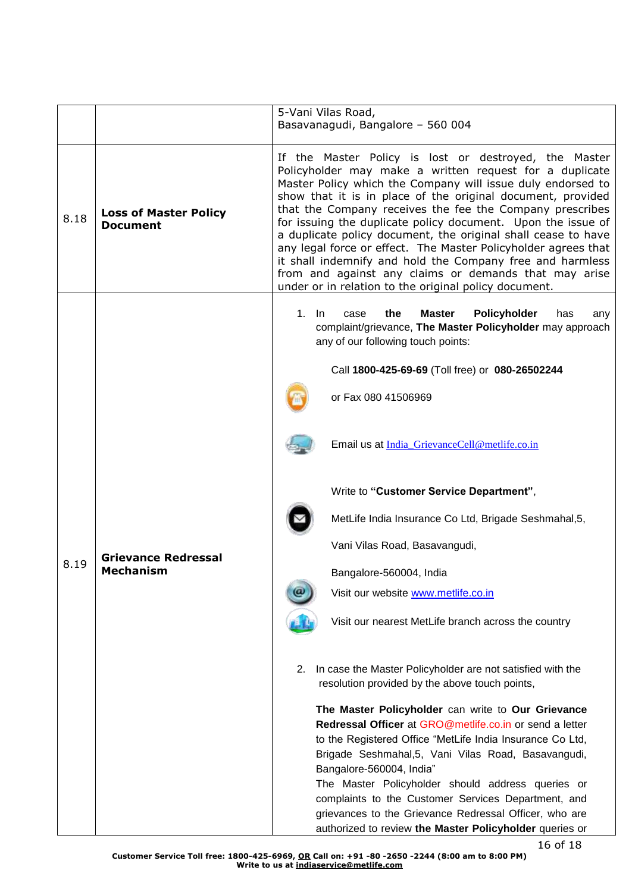|      |                                                 | 5-Vani Vilas Road,<br>Basavanagudi, Bangalore - 560 004                                                                                                                                                                                                                                                                                                                                                                                                                                                                                                                                                                                                                                      |
|------|-------------------------------------------------|----------------------------------------------------------------------------------------------------------------------------------------------------------------------------------------------------------------------------------------------------------------------------------------------------------------------------------------------------------------------------------------------------------------------------------------------------------------------------------------------------------------------------------------------------------------------------------------------------------------------------------------------------------------------------------------------|
| 8.18 | <b>Loss of Master Policy</b><br><b>Document</b> | If the Master Policy is lost or destroyed, the Master<br>Policyholder may make a written request for a duplicate<br>Master Policy which the Company will issue duly endorsed to<br>show that it is in place of the original document, provided<br>that the Company receives the fee the Company prescribes<br>for issuing the duplicate policy document. Upon the issue of<br>a duplicate policy document, the original shall cease to have<br>any legal force or effect. The Master Policyholder agrees that<br>it shall indemnify and hold the Company free and harmless<br>from and against any claims or demands that may arise<br>under or in relation to the original policy document. |
|      | <b>Grievance Redressal</b><br><b>Mechanism</b>  | <b>Master</b><br>Policyholder<br>$1.$ In<br>the<br>case<br>has<br>any<br>complaint/grievance, The Master Policyholder may approach<br>any of our following touch points:                                                                                                                                                                                                                                                                                                                                                                                                                                                                                                                     |
|      |                                                 | Call 1800-425-69-69 (Toll free) or 080-26502244                                                                                                                                                                                                                                                                                                                                                                                                                                                                                                                                                                                                                                              |
|      |                                                 | or Fax 080 41506969                                                                                                                                                                                                                                                                                                                                                                                                                                                                                                                                                                                                                                                                          |
|      |                                                 | Email us at India_GrievanceCell@metlife.co.in                                                                                                                                                                                                                                                                                                                                                                                                                                                                                                                                                                                                                                                |
|      |                                                 | Write to "Customer Service Department",                                                                                                                                                                                                                                                                                                                                                                                                                                                                                                                                                                                                                                                      |
|      |                                                 | MetLife India Insurance Co Ltd, Brigade Seshmahal, 5,                                                                                                                                                                                                                                                                                                                                                                                                                                                                                                                                                                                                                                        |
|      |                                                 | Vani Vilas Road, Basavangudi,                                                                                                                                                                                                                                                                                                                                                                                                                                                                                                                                                                                                                                                                |
| 8.19 |                                                 | Bangalore-560004, India                                                                                                                                                                                                                                                                                                                                                                                                                                                                                                                                                                                                                                                                      |
|      |                                                 | Visit our website www.metlife.co.in                                                                                                                                                                                                                                                                                                                                                                                                                                                                                                                                                                                                                                                          |
|      |                                                 | Visit our nearest MetLife branch across the country                                                                                                                                                                                                                                                                                                                                                                                                                                                                                                                                                                                                                                          |
|      |                                                 | In case the Master Policyholder are not satisfied with the<br>2.<br>resolution provided by the above touch points,                                                                                                                                                                                                                                                                                                                                                                                                                                                                                                                                                                           |
|      |                                                 | The Master Policyholder can write to Our Grievance<br>Redressal Officer at GRO@metlife.co.in or send a letter<br>to the Registered Office "MetLife India Insurance Co Ltd,<br>Brigade Seshmahal, 5, Vani Vilas Road, Basavangudi,<br>Bangalore-560004, India"<br>The Master Policyholder should address queries or<br>complaints to the Customer Services Department, and<br>grievances to the Grievance Redressal Officer, who are<br>authorized to review the Master Policyholder queries or                                                                                                                                                                                               |